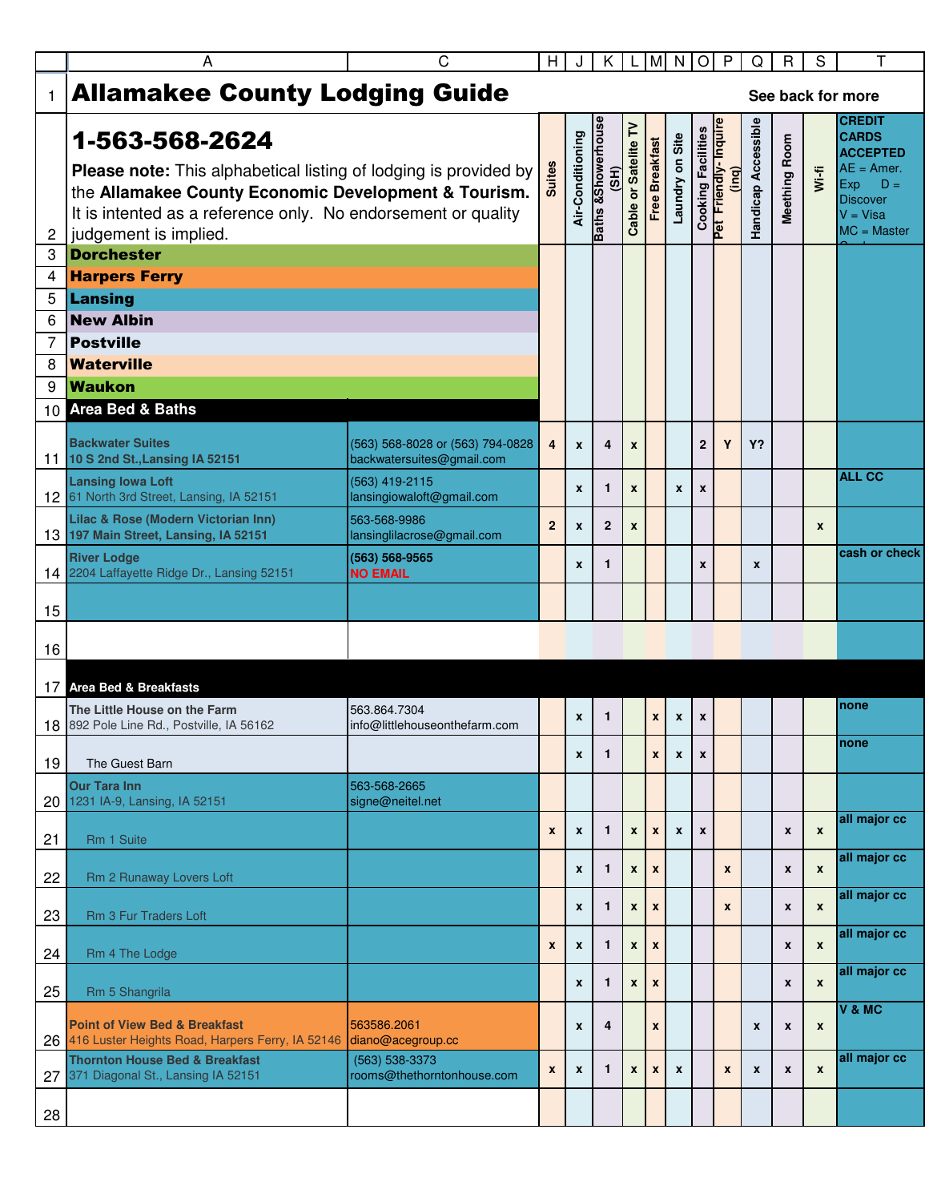| <b>Allamakee County Lodging Guide</b><br>$\mathbf{1}$<br>See back for more<br><b>CREDIT</b><br><b>Baths &amp;Showerhouse</b><br>Handicap Accessible<br>Pet Friendly-Inquire<br>Cable or Satelite TV<br><b>Cooking Facilities</b><br>Air-Conditioning<br><b>CARDS</b><br>Laundry on Site<br>1-563-568-2624<br>Meething Room<br><b>Free Breakfast</b><br><b>ACCEPTED</b><br><b>Suites</b><br>$AE = Amer.$<br><b>Please note:</b> This alphabetical listing of lodging is provided by<br><u>ing</u><br>$W(-f)$<br>(3H)<br>Exp<br>the Allamakee County Economic Development & Tourism.<br><b>Discover</b><br>It is intented as a reference only. No endorsement or quality<br>$V = Visa$ |
|--------------------------------------------------------------------------------------------------------------------------------------------------------------------------------------------------------------------------------------------------------------------------------------------------------------------------------------------------------------------------------------------------------------------------------------------------------------------------------------------------------------------------------------------------------------------------------------------------------------------------------------------------------------------------------------|
|                                                                                                                                                                                                                                                                                                                                                                                                                                                                                                                                                                                                                                                                                      |
| $MC = Master$<br>judgement is implied.<br>$\overline{2}$                                                                                                                                                                                                                                                                                                                                                                                                                                                                                                                                                                                                                             |
| <b>Dorchester</b><br>3                                                                                                                                                                                                                                                                                                                                                                                                                                                                                                                                                                                                                                                               |
| <b>Harpers Ferry</b><br>4                                                                                                                                                                                                                                                                                                                                                                                                                                                                                                                                                                                                                                                            |
| 5<br>Lansing                                                                                                                                                                                                                                                                                                                                                                                                                                                                                                                                                                                                                                                                         |
| <b>New Albin</b><br>6                                                                                                                                                                                                                                                                                                                                                                                                                                                                                                                                                                                                                                                                |
| 7<br><b>Postville</b><br><b>Waterville</b>                                                                                                                                                                                                                                                                                                                                                                                                                                                                                                                                                                                                                                           |
| 8<br><b>Waukon</b><br>9                                                                                                                                                                                                                                                                                                                                                                                                                                                                                                                                                                                                                                                              |
| 10 Area Bed & Baths                                                                                                                                                                                                                                                                                                                                                                                                                                                                                                                                                                                                                                                                  |
|                                                                                                                                                                                                                                                                                                                                                                                                                                                                                                                                                                                                                                                                                      |
| <b>Backwater Suites</b><br>(563) 568-8028 or (563) 794-0828<br>$\overline{2}$<br>Y<br>$\overline{\mathbf{4}}$<br>Y?<br>$\overline{4}$<br>$\mathbf{x}$<br>$\boldsymbol{x}$<br>backwatersuites@gmail.com<br>11 10 S 2nd St., Lansing IA 52151                                                                                                                                                                                                                                                                                                                                                                                                                                          |
| <b>ALL CC</b><br><b>Lansing lowa Loft</b><br>(563) 419-2115<br>$\mathbf{1}$<br>$\pmb{\chi}$<br>$\mathbf{x}$<br>$\pmb{\chi}$<br>X<br>12 61 North 3rd Street, Lansing, IA 52151<br>lansingiowaloft@gmail.com                                                                                                                                                                                                                                                                                                                                                                                                                                                                           |
| Lilac & Rose (Modern Victorian Inn)<br>563-568-9986<br>$\overline{2}$<br>$\overline{2}$<br>$\mathbf{x}$<br>$\boldsymbol{x}$<br>$\boldsymbol{x}$<br>13 197 Main Street, Lansing, IA 52151<br>lansinglilacrose@gmail.com                                                                                                                                                                                                                                                                                                                                                                                                                                                               |
| cash or check<br><b>River Lodge</b><br>(563) 568-9565<br>$\mathbf{1}$<br>X<br>X<br>$\boldsymbol{x}$<br>14 2204 Laffayette Ridge Dr., Lansing 52151<br><b>NO EMAIL</b>                                                                                                                                                                                                                                                                                                                                                                                                                                                                                                                |
| 15                                                                                                                                                                                                                                                                                                                                                                                                                                                                                                                                                                                                                                                                                   |
| 16                                                                                                                                                                                                                                                                                                                                                                                                                                                                                                                                                                                                                                                                                   |
|                                                                                                                                                                                                                                                                                                                                                                                                                                                                                                                                                                                                                                                                                      |
| <b>17</b> Area Bed & Breakfasts<br>none<br>563.864.7304<br>The Little House on the Farm<br>1<br>$\mathbf{x}$<br>X<br>$\mathbf{x}$<br>$\mathbf{x}$                                                                                                                                                                                                                                                                                                                                                                                                                                                                                                                                    |
| 18 892 Pole Line Rd., Postville, IA 56162<br>info@littlehouseonthefarm.com<br>none<br>1<br>$\mathbf{x}$<br>X<br>$\boldsymbol{x}$<br>$\mathbf{x}$                                                                                                                                                                                                                                                                                                                                                                                                                                                                                                                                     |
| 19<br>The Guest Barn<br><b>Our Tara Inn</b><br>563-568-2665<br>1231 IA-9, Lansing, IA 52151<br>signe@neitel.net                                                                                                                                                                                                                                                                                                                                                                                                                                                                                                                                                                      |
| 20<br>all major cc<br>1<br>$\pmb{\chi}$<br>$\pmb{\chi}$<br>$\mathbf{x}$<br>$\mathbf{x}$<br>$\boldsymbol{x}$<br>$\pmb{\chi}$<br>$\boldsymbol{x}$<br>X<br>21<br>Rm 1 Suite                                                                                                                                                                                                                                                                                                                                                                                                                                                                                                             |
| all major cc<br>1<br>$\boldsymbol{\mathsf{x}}$<br>$\pmb{\chi}$<br>$\pmb{\chi}$<br>$\mathbf{x}$<br>X<br>X<br>22<br>Rm 2 Runaway Lovers Loft                                                                                                                                                                                                                                                                                                                                                                                                                                                                                                                                           |
| all major cc<br>$\mathbf{1}$<br>$\pmb{\chi}$<br>$\pmb{\mathsf{x}}$<br>X<br>$\boldsymbol{x}$<br>X<br>$\mathbf{x}$<br>23<br>Rm 3 Fur Traders Loft                                                                                                                                                                                                                                                                                                                                                                                                                                                                                                                                      |
| all major cc<br>$\mathbf{1}$<br>$\boldsymbol{\mathsf{x}}$<br>$\pmb{\mathsf{x}}$<br>$\pmb{\chi}$<br>$\boldsymbol{x}$<br>$\mathbf{x}$<br>$\mathbf{x}$<br>24<br>Rm 4 The Lodge                                                                                                                                                                                                                                                                                                                                                                                                                                                                                                          |
| all major cc<br>$\mathbf{1}$<br>$\pmb{\mathsf{x}}$<br>$\pmb{\chi}$<br>X<br>X<br>$\boldsymbol{x}$<br>25<br>Rm 5 Shangrila                                                                                                                                                                                                                                                                                                                                                                                                                                                                                                                                                             |
| V & MC<br><b>Point of View Bed &amp; Breakfast</b><br>563586.2061<br>4<br>$\pmb{\mathsf{x}}$<br>$\pmb{\mathsf{x}}$<br>X<br>$\pmb{\chi}$<br>$\mathbf{x}$                                                                                                                                                                                                                                                                                                                                                                                                                                                                                                                              |
| 26 416 Luster Heights Road, Harpers Ferry, IA 52146<br>diano@acegroup.cc<br>all major cc<br><b>Thornton House Bed &amp; Breakfast</b><br>(563) 538-3373<br>1<br>$\pmb{\mathsf{x}}$<br>$\pmb{\chi}$<br>$\pmb{\chi}$<br>$\pmb{\chi}$<br>$\pmb{\mathsf{x}}$<br>$\pmb{\chi}$<br>x<br>$\boldsymbol{x}$<br>X<br>371 Diagonal St., Lansing IA 52151<br>rooms@thethorntonhouse.com<br>27                                                                                                                                                                                                                                                                                                     |
| 28                                                                                                                                                                                                                                                                                                                                                                                                                                                                                                                                                                                                                                                                                   |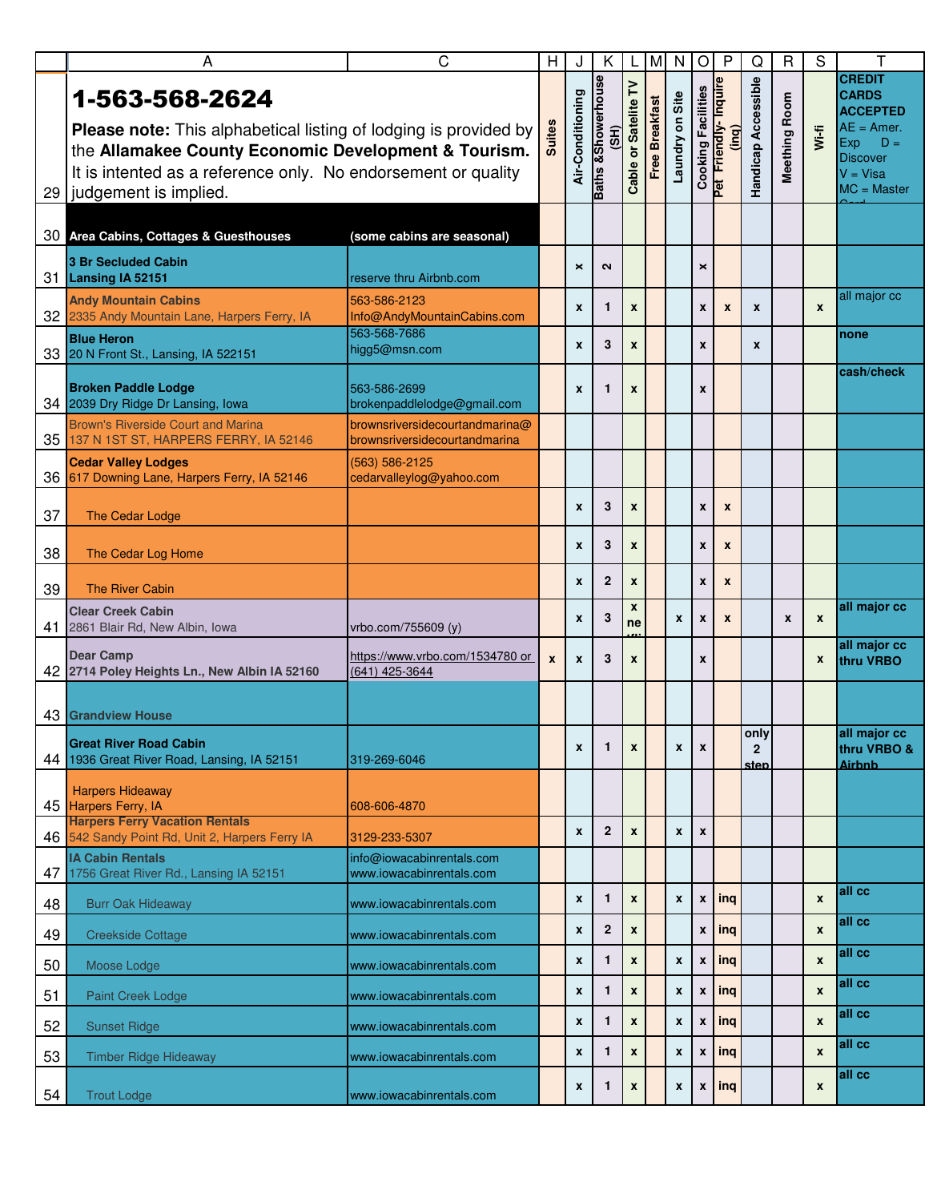|    | Α                                                                                                                                                                                                                                    | C                                                               | Н             |                  | Κ                                               | L                      | M                     | N                  | $\circ$                   | P                             | Q                              | $\mathsf{R}$  | S                  | т                                                                                                                                  |
|----|--------------------------------------------------------------------------------------------------------------------------------------------------------------------------------------------------------------------------------------|-----------------------------------------------------------------|---------------|------------------|-------------------------------------------------|------------------------|-----------------------|--------------------|---------------------------|-------------------------------|--------------------------------|---------------|--------------------|------------------------------------------------------------------------------------------------------------------------------------|
| 29 | 1-563-568-2624<br>Please note: This alphabetical listing of lodging is provided by<br>the Allamakee County Economic Development & Tourism.<br>It is intented as a reference only. No endorsement or quality<br>judgement is implied. |                                                                 | <b>Suites</b> | Air-Conditioning | <b>Baths &amp;Showerhouse</b><br>$\overline{3}$ | Cable or Satelite TV   | <b>Free Breakfast</b> | Laundry on Site    | <b>Cooking Facilities</b> | Pet Friendly-Inquire<br>(ing) | Handicap Accessible            | Meething Room | Wi-fi              | <b>CREDIT</b><br><b>CARDS</b><br><b>ACCEPTED</b><br>$AE = Amer.$<br>Exp<br>$D =$<br><b>Discover</b><br>$V = Visa$<br>$MC = Master$ |
|    | 30 Area Cabins, Cottages & Guesthouses                                                                                                                                                                                               | (some cabins are seasonal)                                      |               |                  |                                                 |                        |                       |                    |                           |                               |                                |               |                    |                                                                                                                                    |
| 31 | 3 Br Secluded Cabin<br><b>Lansing IA 52151</b>                                                                                                                                                                                       | reserve thru Airbnb.com                                         |               | $\times$         | $\sim$                                          |                        |                       |                    | ×                         |                               |                                |               |                    |                                                                                                                                    |
|    | <b>Andy Mountain Cabins</b><br>32 2335 Andy Mountain Lane, Harpers Ferry, IA                                                                                                                                                         | 563-586-2123<br>Info@AndyMountainCabins.com                     |               | X                | $\mathbf{1}$                                    | $\boldsymbol{x}$       |                       |                    | X                         | $\pmb{\chi}$                  | X                              |               | $\boldsymbol{x}$   | all major cc                                                                                                                       |
|    | <b>Blue Heron</b><br>33 20 N Front St., Lansing, IA 522151                                                                                                                                                                           | 563-568-7686<br>higg5@msn.com                                   |               | X                | 3                                               | $\pmb{\mathsf{x}}$     |                       |                    | x                         |                               | X                              |               |                    | none                                                                                                                               |
|    | <b>Broken Paddle Lodge</b><br>34 2039 Dry Ridge Dr Lansing, Iowa                                                                                                                                                                     | 563-586-2699<br>brokenpaddlelodge@gmail.com                     |               | X                | 1                                               | X                      |                       |                    | X                         |                               |                                |               |                    | cash/check                                                                                                                         |
| 35 | <b>Brown's Riverside Court and Marina</b><br>137 N 1ST ST, HARPERS FERRY, IA 52146                                                                                                                                                   | brownsriversidecourtandmarina@<br>brownsriversidecourtandmarina |               |                  |                                                 |                        |                       |                    |                           |                               |                                |               |                    |                                                                                                                                    |
| 36 | <b>Cedar Valley Lodges</b><br>617 Downing Lane, Harpers Ferry, IA 52146                                                                                                                                                              | (563) 586-2125<br>cedarvalleylog@yahoo.com                      |               |                  |                                                 |                        |                       |                    |                           |                               |                                |               |                    |                                                                                                                                    |
| 37 | The Cedar Lodge                                                                                                                                                                                                                      |                                                                 |               | X                | 3                                               | $\boldsymbol{x}$       |                       |                    | x                         | $\pmb{\chi}$                  |                                |               |                    |                                                                                                                                    |
| 38 | The Cedar Log Home                                                                                                                                                                                                                   |                                                                 |               | X                | 3                                               | X                      |                       |                    | x                         | $\pmb{\chi}$                  |                                |               |                    |                                                                                                                                    |
| 39 | <b>The River Cabin</b>                                                                                                                                                                                                               |                                                                 |               | X                | $\mathbf{2}$                                    | $\pmb{\mathsf{x}}$     |                       |                    | x                         | $\boldsymbol{x}$              |                                |               |                    |                                                                                                                                    |
|    | <b>Clear Creek Cabin</b><br>41 2861 Blair Rd, New Albin, Iowa                                                                                                                                                                        | vrbo.com/755609 (y)                                             |               | X                | 3                                               | $\boldsymbol{x}$<br>ne |                       | $\pmb{\mathsf{x}}$ | X                         | $\boldsymbol{x}$              |                                | X             | $\boldsymbol{x}$   | all major cc                                                                                                                       |
|    | <b>Dear Camp</b><br>42 2714 Poley Heights Ln., New Albin IA 52160                                                                                                                                                                    | https://www.vrbo.com/1534780 or<br>(641) 425-3644               | $\mathbf{x}$  | X                | 3                                               | $\pmb{\mathsf{x}}$     |                       |                    | x                         |                               |                                |               | $\mathbf{x}$       | all major cc<br>thru VRBO                                                                                                          |
|    | 43 Grandview House                                                                                                                                                                                                                   |                                                                 |               |                  |                                                 |                        |                       |                    |                           |                               |                                |               |                    |                                                                                                                                    |
|    | <b>Great River Road Cabin</b><br>44 1936 Great River Road, Lansing, IA 52151                                                                                                                                                         | 319-269-6046                                                    |               | X                | 1                                               | $\boldsymbol{x}$       |                       | X                  | $\pmb{\chi}$              |                               | only<br>$\overline{2}$<br>sten |               |                    | all major cc<br>thru VRBO &<br><b>Airbnb</b>                                                                                       |
|    | <b>Harpers Hideaway</b><br>45 Harpers Ferry, IA                                                                                                                                                                                      | 608-606-4870                                                    |               |                  |                                                 |                        |                       |                    |                           |                               |                                |               |                    |                                                                                                                                    |
|    | <b>Harpers Ferry Vacation Rentals</b><br>46 542 Sandy Point Rd, Unit 2, Harpers Ferry IA                                                                                                                                             | 3129-233-5307                                                   |               | X                | $\overline{2}$                                  | $\pmb{\mathsf{x}}$     |                       | x                  | $\mathbf{x}$              |                               |                                |               |                    |                                                                                                                                    |
|    | <b>IA Cabin Rentals</b><br>47 1756 Great River Rd., Lansing IA 52151                                                                                                                                                                 | info@iowacabinrentals.com<br>www.iowacabinrentals.com           |               |                  |                                                 |                        |                       |                    |                           |                               |                                |               |                    |                                                                                                                                    |
| 48 | <b>Burr Oak Hideaway</b>                                                                                                                                                                                                             | www.iowacabinrentals.com                                        |               | X                | 1                                               | $\pmb{\mathsf{x}}$     |                       | $\pmb{\chi}$       | $\pmb{\mathsf{x}}$        | ing                           |                                |               | $\pmb{\mathsf{x}}$ | all cc                                                                                                                             |
| 49 | <b>Creekside Cottage</b>                                                                                                                                                                                                             | www.iowacabinrentals.com                                        |               | X                | $\mathbf{2}$                                    | $\pmb{\mathsf{x}}$     |                       |                    | x                         | ling                          |                                |               | $\pmb{\chi}$       | all cc                                                                                                                             |
| 50 | Moose Lodge                                                                                                                                                                                                                          | www.iowacabinrentals.com                                        |               | X                | $\mathbf{1}$                                    | $\pmb{\mathsf{x}}$     |                       | $\pmb{\chi}$       | $\pmb{\mathsf{x}}$        | l ing                         |                                |               | $\pmb{\chi}$       | all cc<br>all cc                                                                                                                   |
| 51 | <b>Paint Creek Lodge</b>                                                                                                                                                                                                             | www.iowacabinrentals.com                                        |               | X                | $\mathbf{1}$                                    | $\pmb{\mathsf{x}}$     |                       | $\pmb{\mathsf{x}}$ | $\pmb{\mathsf{x}}$        | ing                           |                                |               | $\pmb{\mathsf{x}}$ | all cc                                                                                                                             |
| 52 | <b>Sunset Ridge</b>                                                                                                                                                                                                                  | www.iowacabinrentals.com                                        |               | X                | $\mathbf{1}$                                    | $\pmb{\mathsf{x}}$     |                       | $\pmb{\mathsf{x}}$ | $\pmb{\mathsf{x}}$        | ing                           |                                |               | $\pmb{\mathsf{x}}$ | all cc                                                                                                                             |
| 53 | <b>Timber Ridge Hideaway</b>                                                                                                                                                                                                         | www.iowacabinrentals.com                                        |               | X                | $\mathbf{1}$                                    | $\pmb{\mathsf{x}}$     |                       | $\pmb{\chi}$       | $\pmb{\mathsf{x}}$        | l ing                         |                                |               | $\boldsymbol{x}$   | all cc                                                                                                                             |
| 54 | <b>Trout Lodge</b>                                                                                                                                                                                                                   | www.iowacabinrentals.com                                        |               | X                | 1                                               | $\pmb{\mathsf{x}}$     |                       | $\pmb{\mathsf{x}}$ | $\pmb{\mathsf{x}}$        | $ $ ing                       |                                |               | X                  |                                                                                                                                    |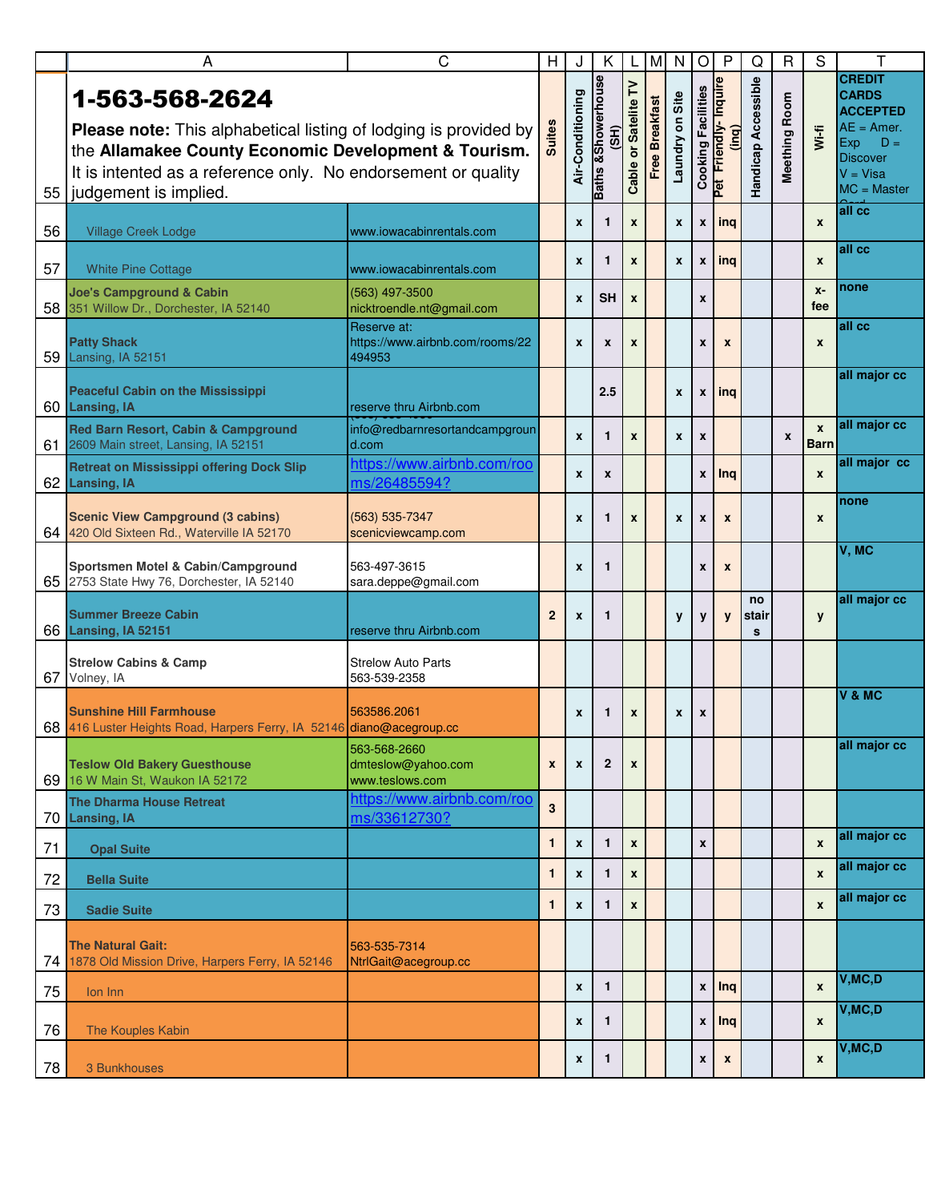|    | A                                                                                                                                                                                                                                           | C                                                        | H                | J                  | K                                     | L                    | M                     | N                  | $\bigcirc$                | $\mathsf{P}$                         | Q                   | $\mathsf{R}$     | S                           | т                                                                                                                                  |
|----|---------------------------------------------------------------------------------------------------------------------------------------------------------------------------------------------------------------------------------------------|----------------------------------------------------------|------------------|--------------------|---------------------------------------|----------------------|-----------------------|--------------------|---------------------------|--------------------------------------|---------------------|------------------|-----------------------------|------------------------------------------------------------------------------------------------------------------------------------|
| 55 | 1-563-568-2624<br><b>Please note:</b> This alphabetical listing of lodging is provided by<br>the Allamakee County Economic Development & Tourism.<br>It is intented as a reference only. No endorsement or quality<br>judgement is implied. |                                                          | <b>Suites</b>    | Air-Conditioning   | <b>Baths &amp;Showerhouse</b><br>(SH) | Cable or Satelite TV | <b>Free Breakfast</b> | Laundry on Site    | <b>Cooking Facilities</b> | Pet Friendly-Inquire<br><u>(ing)</u> | Handicap Accessible | Meething Room    | $W(-f)$                     | <b>CREDIT</b><br><b>CARDS</b><br><b>ACCEPTED</b><br>$AE = Amer.$<br>Exp<br>$D =$<br><b>Discover</b><br>$V = Visa$<br>$MC = Master$ |
| 56 | <b>Village Creek Lodge</b>                                                                                                                                                                                                                  | www.iowacabinrentals.com                                 |                  | X                  | $\mathbf{1}$                          | $\pmb{\mathsf{x}}$   |                       | $\mathbf{x}$       | $\pmb{\mathsf{x}}$        | l ing                                |                     |                  | $\boldsymbol{x}$            | all cc                                                                                                                             |
| 57 | <b>White Pine Cottage</b>                                                                                                                                                                                                                   | www.iowacabinrentals.com                                 |                  | X                  | $\mathbf{1}$                          | $\pmb{\mathsf{x}}$   |                       | $\mathbf{x}$       | X                         | ing                                  |                     |                  | $\boldsymbol{x}$            | all cc                                                                                                                             |
| 58 | <b>Joe's Campground &amp; Cabin</b><br>351 Willow Dr., Dorchester, IA 52140                                                                                                                                                                 | (563) 497-3500<br>nicktroendle.nt@gmail.com              |                  | X                  | <b>SH</b>                             | $\boldsymbol{x}$     |                       |                    | X                         |                                      |                     |                  | $X -$<br>fee                | none                                                                                                                               |
| 59 | <b>Patty Shack</b><br>Lansing, IA 52151                                                                                                                                                                                                     | Reserve at:<br>https://www.airbnb.com/rooms/22<br>494953 |                  | X                  | $\boldsymbol{x}$                      | X                    |                       |                    | X                         | X                                    |                     |                  | $\boldsymbol{x}$            | all cc                                                                                                                             |
| 60 | <b>Peaceful Cabin on the Mississippi</b><br><b>Lansing, IA</b>                                                                                                                                                                              | reserve thru Airbnb.com                                  |                  |                    | 2.5                                   |                      |                       | $\pmb{\mathsf{x}}$ | $\pmb{\mathsf{x}}$        | ing                                  |                     |                  |                             | all major cc                                                                                                                       |
| 61 | Red Barn Resort, Cabin & Campground<br>2609 Main street, Lansing, IA 52151                                                                                                                                                                  | info@redbarnresortandcampgroun<br>d.com                  |                  | X                  | $\mathbf{1}$                          | $\boldsymbol{x}$     |                       | $\pmb{\mathsf{x}}$ | $\pmb{\mathsf{x}}$        |                                      |                     | $\boldsymbol{x}$ | $\mathbf{x}$<br><b>Barn</b> | all major cc                                                                                                                       |
|    | <b>Retreat on Mississippi offering Dock Slip</b><br>62 Lansing, IA                                                                                                                                                                          | https://www.airbnb.com/roo<br>ms/26485594?               |                  | X                  | $\pmb{\mathsf{x}}$                    |                      |                       |                    | $\pmb{\mathsf{x}}$        | Ing                                  |                     |                  | $\boldsymbol{x}$            | all major cc                                                                                                                       |
|    | <b>Scenic View Campground (3 cabins)</b><br>64 420 Old Sixteen Rd., Waterville IA 52170                                                                                                                                                     | (563) 535-7347<br>scenicviewcamp.com                     |                  | X                  | 1                                     | X                    |                       | $\pmb{\mathsf{x}}$ | X                         | $\boldsymbol{x}$                     |                     |                  | $\boldsymbol{x}$            | none                                                                                                                               |
|    | Sportsmen Motel & Cabin/Campground<br>65 2753 State Hwy 76, Dorchester, IA 52140                                                                                                                                                            | 563-497-3615<br>sara.deppe@gmail.com                     |                  | X                  | $\mathbf{1}$                          |                      |                       |                    | X                         | $\boldsymbol{x}$                     |                     |                  |                             | V, MC                                                                                                                              |
|    | <b>Summer Breeze Cabin</b><br>66 Lansing, IA 52151                                                                                                                                                                                          | reserve thru Airbnb.com                                  | $\mathbf{2}$     | X                  | $\mathbf{1}$                          |                      |                       | y                  | y                         | $\mathbf{y}$                         | no<br>stair<br>s    |                  | y                           | all major cc                                                                                                                       |
| 67 | <b>Strelow Cabins &amp; Camp</b><br>Volney, IA                                                                                                                                                                                              | <b>Strelow Auto Parts</b><br>563-539-2358                |                  |                    |                                       |                      |                       |                    |                           |                                      |                     |                  |                             |                                                                                                                                    |
|    | <b>Sunshine Hill Farmhouse</b><br>68 416 Luster Heights Road, Harpers Ferry, IA 52146 diano@acegroup.cc                                                                                                                                     | 563586.2061                                              |                  | X                  | 1                                     | X                    |                       | X                  | X                         |                                      |                     |                  |                             | V & MC                                                                                                                             |
| 69 | <b>Teslow Old Bakery Guesthouse</b><br>16 W Main St, Waukon IA 52172                                                                                                                                                                        | 563-568-2660<br>dmteslow@yahoo.com<br>www.teslows.com    | $\boldsymbol{x}$ | X                  | $\mathbf{2}$                          | X                    |                       |                    |                           |                                      |                     |                  |                             | all major cc                                                                                                                       |
| 70 | <b>The Dharma House Retreat</b><br><b>Lansing, IA</b>                                                                                                                                                                                       | https://www.airbnb.com/roo<br>ms/33612730?               | 3                |                    |                                       |                      |                       |                    |                           |                                      |                     |                  |                             |                                                                                                                                    |
| 71 | <b>Opal Suite</b>                                                                                                                                                                                                                           |                                                          | $\mathbf{1}$     | X                  | $\mathbf{1}$                          | $\boldsymbol{x}$     |                       |                    | $\pmb{\mathsf{x}}$        |                                      |                     |                  | $\boldsymbol{x}$            | all major cc                                                                                                                       |
| 72 | <b>Bella Suite</b>                                                                                                                                                                                                                          |                                                          | 1                | x                  | 1                                     | $\pmb{\mathsf{x}}$   |                       |                    |                           |                                      |                     |                  | $\pmb{\mathsf{x}}$          | all major cc                                                                                                                       |
| 73 | <b>Sadie Suite</b>                                                                                                                                                                                                                          |                                                          | 1                | X                  | $\mathbf{1}$                          | $\boldsymbol{x}$     |                       |                    |                           |                                      |                     |                  | $\mathbf{x}$                | all major cc                                                                                                                       |
| 74 | <b>The Natural Gait:</b><br>1878 Old Mission Drive, Harpers Ferry, IA 52146                                                                                                                                                                 | 563-535-7314<br>NtrlGait@acegroup.cc                     |                  |                    |                                       |                      |                       |                    |                           |                                      |                     |                  |                             |                                                                                                                                    |
| 75 | Ion Inn                                                                                                                                                                                                                                     |                                                          |                  | $\pmb{\mathsf{x}}$ | $\mathbf{1}$                          |                      |                       |                    |                           | $x$ Inq                              |                     |                  | $\pmb{\mathsf{x}}$          | V, MC, D                                                                                                                           |
| 76 | <b>The Kouples Kabin</b>                                                                                                                                                                                                                    |                                                          |                  | X                  | 1                                     |                      |                       |                    | X                         | $ $ Inq                              |                     |                  | $\pmb{\chi}$                | V, MC, D                                                                                                                           |
| 78 | 3 Bunkhouses                                                                                                                                                                                                                                |                                                          |                  | X                  | 1                                     |                      |                       |                    | X                         | $\mathbf{x}$                         |                     |                  | $\boldsymbol{x}$            | V, MC, D                                                                                                                           |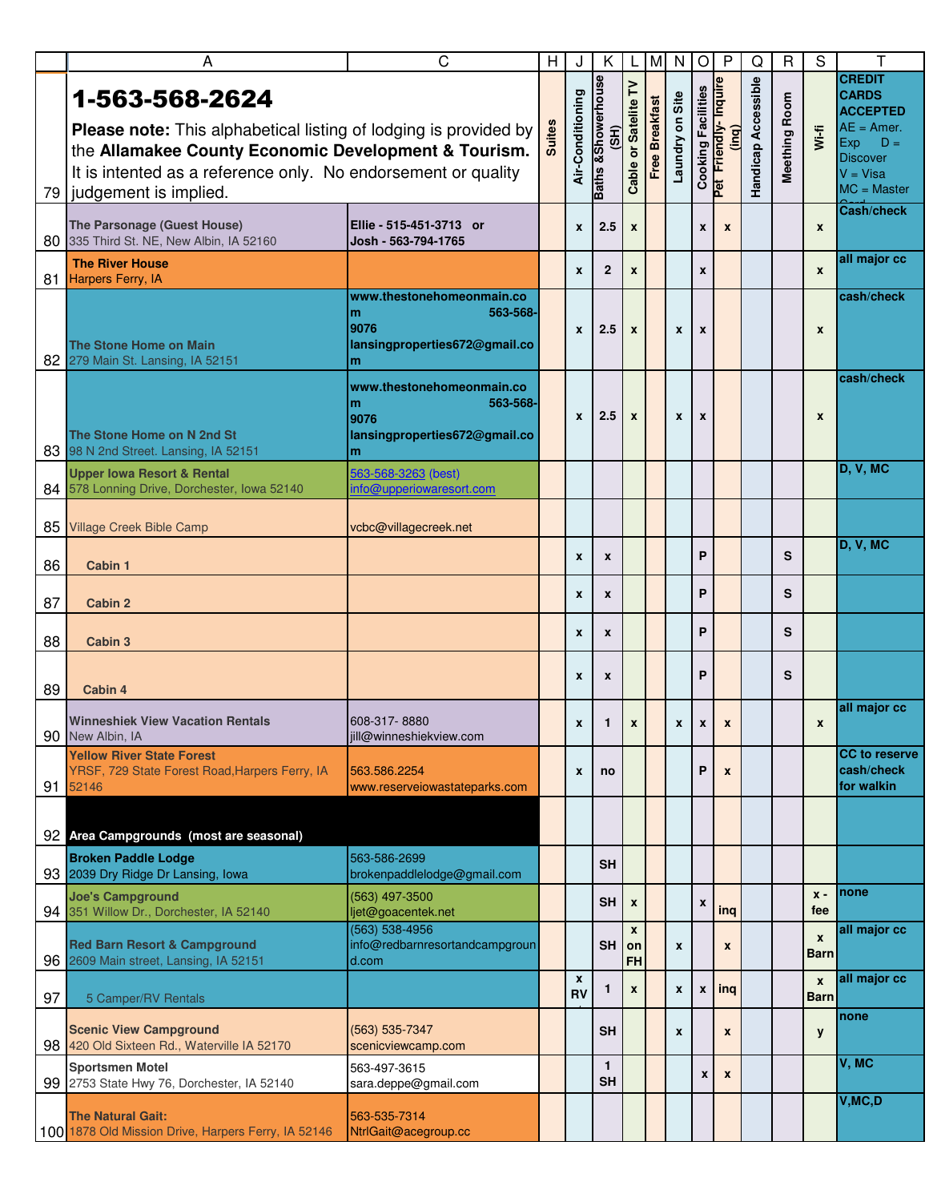|    | Α                                                                                                                                                                                                                                              | C                                                                                        | Н             | J                | K                                      | L                               | M                     | N                  | $\circ$            | $\mathsf{P}$                  | Q                   | R             | S                               | т                                                                                                                                  |
|----|------------------------------------------------------------------------------------------------------------------------------------------------------------------------------------------------------------------------------------------------|------------------------------------------------------------------------------------------|---------------|------------------|----------------------------------------|---------------------------------|-----------------------|--------------------|--------------------|-------------------------------|---------------------|---------------|---------------------------------|------------------------------------------------------------------------------------------------------------------------------------|
|    | 1-563-568-2624<br><b>Please note:</b> This alphabetical listing of lodging is provided by<br>the Allamakee County Economic Development & Tourism.<br>It is intented as a reference only. No endorsement or quality<br>79 judgement is implied. |                                                                                          | <b>Suites</b> | Air-Conditioning | <b>Baths &amp; Showerhouse</b><br>(SH) | Cable or Satelite TV            | <b>Free Breakfast</b> | Laundry on Site    | Cooking Facilities | Pet Friendly-Inquire<br>(ing) | Handicap Accessible | Meething Room | Wi-fi                           | <b>CREDIT</b><br><b>CARDS</b><br><b>ACCEPTED</b><br>$AE = Amer.$<br>$D =$<br>Exp<br><b>Discover</b><br>$V = Visa$<br>$MC = Master$ |
|    | The Parsonage (Guest House)<br>80 335 Third St. NE, New Albin, IA 52160                                                                                                                                                                        | Ellie - 515-451-3713 or<br>Josh - 563-794-1765                                           |               | X                | 2.5                                    | $\boldsymbol{x}$                |                       |                    | X                  | $\boldsymbol{x}$              |                     |               | $\boldsymbol{x}$                | <b>Cash/check</b>                                                                                                                  |
| 81 | <b>The River House</b><br>Harpers Ferry, IA                                                                                                                                                                                                    |                                                                                          |               | X                | $\mathbf{2}$                           | X                               |                       |                    | X                  |                               |                     |               | $\pmb{\chi}$                    | all major cc                                                                                                                       |
|    | The Stone Home on Main<br>82 279 Main St. Lansing, IA 52151                                                                                                                                                                                    | www.thestonehomeonmain.co<br>563-568-<br>m<br>9076<br>lansingproperties672@gmail.co<br>m |               | X                | 2.5                                    | $\pmb{\chi}$                    |                       | x                  | X                  |                               |                     |               | X                               | cash/check                                                                                                                         |
|    | The Stone Home on N 2nd St<br>83 98 N 2nd Street. Lansing, IA 52151                                                                                                                                                                            | www.thestonehomeonmain.co<br>563-568-<br>m<br>9076<br>lansingproperties672@gmail.co<br>m |               | X                | 2.5                                    | $\boldsymbol{x}$                |                       | X                  | X                  |                               |                     |               | X                               | cash/check                                                                                                                         |
|    | <b>Upper lowa Resort &amp; Rental</b><br>84 578 Lonning Drive, Dorchester, Iowa 52140                                                                                                                                                          | 563-568-3263 (best)<br>info@upperiowaresort.com                                          |               |                  |                                        |                                 |                       |                    |                    |                               |                     |               |                                 | D, V, MC                                                                                                                           |
|    | 85 Village Creek Bible Camp                                                                                                                                                                                                                    | vcbc@villagecreek.net                                                                    |               |                  |                                        |                                 |                       |                    |                    |                               |                     |               |                                 |                                                                                                                                    |
| 86 | Cabin 1                                                                                                                                                                                                                                        |                                                                                          |               | X                | X                                      |                                 |                       |                    | P                  |                               |                     | S             |                                 | D, V, MC                                                                                                                           |
| 87 | <b>Cabin 2</b>                                                                                                                                                                                                                                 |                                                                                          |               | X                | X                                      |                                 |                       |                    | P                  |                               |                     | S             |                                 |                                                                                                                                    |
| 88 | <b>Cabin 3</b>                                                                                                                                                                                                                                 |                                                                                          |               | X                | $\mathbf{x}$                           |                                 |                       |                    | P                  |                               |                     | S             |                                 |                                                                                                                                    |
| 89 | Cabin 4                                                                                                                                                                                                                                        |                                                                                          |               | X                | X                                      |                                 |                       |                    | P                  |                               |                     | S             |                                 |                                                                                                                                    |
|    | <b>Winneshiek View Vacation Rentals</b><br>90 New Albin, IA                                                                                                                                                                                    | 608-317-8880<br>jill@winneshiekview.com                                                  |               | X                | $\mathbf{1}$                           | $\pmb{\chi}$                    |                       | $\mathbf{x}$       | $\pmb{\chi}$       | $\pmb{\mathsf{x}}$            |                     |               | $\pmb{\mathsf{x}}$              | all major cc                                                                                                                       |
|    | <b>Yellow River State Forest</b><br>YRSF, 729 State Forest Road, Harpers Ferry, IA<br>91 52146                                                                                                                                                 | 563.586.2254<br>www.reserveiowastateparks.com                                            |               | X                | no                                     |                                 |                       |                    | P                  | $\pmb{\chi}$                  |                     |               |                                 | <b>CC</b> to reserve<br>cash/check<br>for walkin                                                                                   |
|    | 92 Area Campgrounds (most are seasonal)                                                                                                                                                                                                        |                                                                                          |               |                  |                                        |                                 |                       |                    |                    |                               |                     |               |                                 |                                                                                                                                    |
|    | <b>Broken Paddle Lodge</b><br>93 2039 Dry Ridge Dr Lansing, Iowa                                                                                                                                                                               | 563-586-2699<br>brokenpaddlelodge@gmail.com                                              |               |                  | <b>SH</b>                              |                                 |                       |                    |                    |                               |                     |               |                                 |                                                                                                                                    |
|    | <b>Joe's Campground</b><br>94 351 Willow Dr., Dorchester, IA 52140                                                                                                                                                                             | (563) 497-3500<br>ljet@goacentek.net                                                     |               |                  | <b>SH</b>                              | $\mathbf{x}$                    |                       |                    | $\pmb{\mathsf{x}}$ | ing                           |                     |               | $x -$<br>fee                    | none                                                                                                                               |
|    | <b>Red Barn Resort &amp; Campground</b><br>96 2609 Main street, Lansing, IA 52151                                                                                                                                                              | (563) 538-4956<br>info@redbarnresortandcampgroun<br>d.com                                |               |                  | <b>SH</b>                              | $\mathbf{x}$<br>on<br><b>FH</b> |                       | $\pmb{\chi}$       |                    | $\pmb{\mathsf{x}}$            |                     |               | $\boldsymbol{x}$<br><b>Barn</b> | all major cc                                                                                                                       |
| 97 | 5 Camper/RV Rentals                                                                                                                                                                                                                            |                                                                                          |               | X<br><b>RV</b>   | 1                                      | $\pmb{\mathsf{x}}$              |                       | $\mathbf{x}$       | X                  | $ $ ing                       |                     |               | $\mathbf{x}$<br><b>Barn</b>     | all major cc                                                                                                                       |
|    | <b>Scenic View Campground</b><br>98 420 Old Sixteen Rd., Waterville IA 52170                                                                                                                                                                   | (563) 535-7347<br>scenicviewcamp.com                                                     |               |                  | <b>SH</b>                              |                                 |                       | $\pmb{\mathsf{x}}$ |                    | $\pmb{\mathsf{x}}$            |                     |               | y                               | none                                                                                                                               |
|    | <b>Sportsmen Motel</b><br>99 2753 State Hwy 76, Dorchester, IA 52140                                                                                                                                                                           | 563-497-3615<br>sara.deppe@gmail.com                                                     |               |                  | $\mathbf{1}$<br><b>SH</b>              |                                 |                       |                    | $\boldsymbol{x}$   | $\pmb{\chi}$                  |                     |               |                                 | V, MC                                                                                                                              |
|    | <b>The Natural Gait:</b><br>100 1878 Old Mission Drive, Harpers Ferry, IA 52146                                                                                                                                                                | 563-535-7314<br>NtrlGait@acegroup.cc                                                     |               |                  |                                        |                                 |                       |                    |                    |                               |                     |               |                                 | V, MC, D                                                                                                                           |